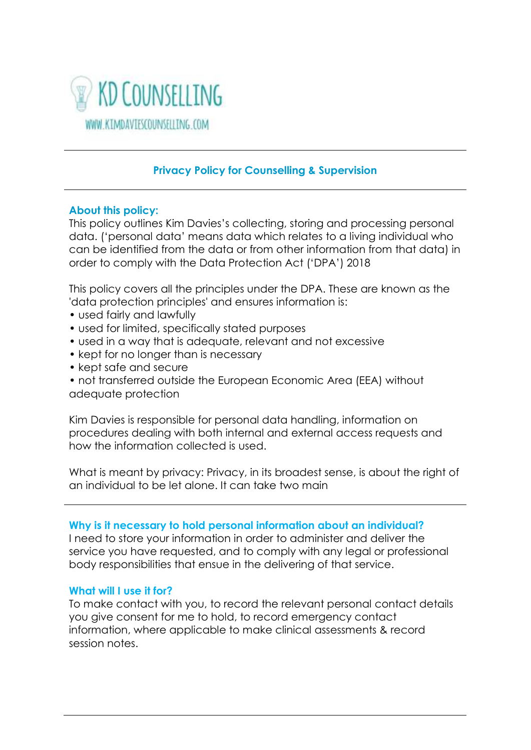

# **Privacy Policy for Counselling & Supervision**

## **About this policy:**

This policy outlines Kim Davies's collecting, storing and processing personal data. ('personal data' means data which relates to a living individual who can be identified from the data or from other information from that data) in order to comply with the Data Protection Act ('DPA') 2018

This policy covers all the principles under the DPA. These are known as the 'data protection principles' and ensures information is:

- used fairly and lawfully
- used for limited, specifically stated purposes
- used in a way that is adequate, relevant and not excessive
- kept for no longer than is necessary
- kept safe and secure
- not transferred outside the European Economic Area (EEA) without adequate protection

Kim Davies is responsible for personal data handling, information on procedures dealing with both internal and external access requests and how the information collected is used.

What is meant by privacy: Privacy, in its broadest sense, is about the right of an individual to be let alone. It can take two main

#### **Why is it necessary to hold personal information about an individual?**

I need to store your information in order to administer and deliver the service you have requested, and to comply with any legal or professional body responsibilities that ensue in the delivering of that service.

#### **What will I use it for?**

To make contact with you, to record the relevant personal contact details you give consent for me to hold, to record emergency contact information, where applicable to make clinical assessments & record session notes.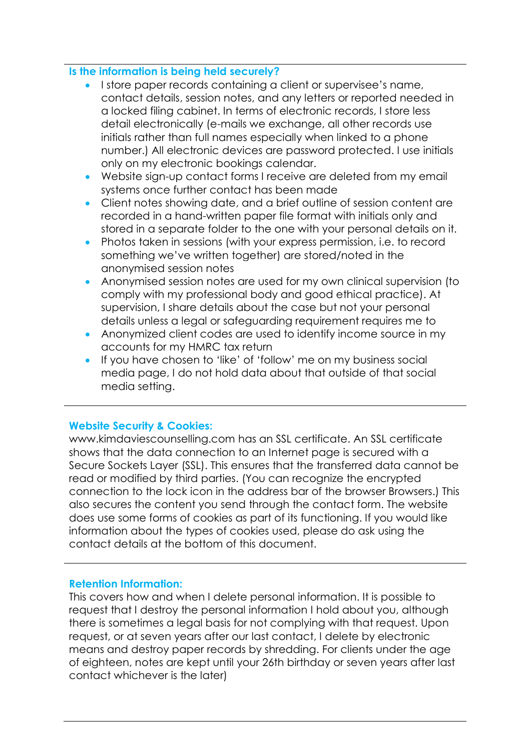#### **Is the information is being held securely?**

- **I store paper records containing a client or supervisee's name,** contact details, session notes, and any letters or reported needed in a locked filing cabinet. In terms of electronic records, I store less detail electronically (e-mails we exchange, all other records use initials rather than full names especially when linked to a phone number.) All electronic devices are password protected. I use initials only on my electronic bookings calendar.
- Website sign-up contact forms I receive are deleted from my email systems once further contact has been made
- Client notes showing date, and a brief outline of session content are recorded in a hand-written paper file format with initials only and stored in a separate folder to the one with your personal details on it.
- Photos taken in sessions (with your express permission, i.e. to record something we've written together) are stored/noted in the anonymised session notes
- Anonymised session notes are used for my own clinical supervision (to comply with my professional body and good ethical practice). At supervision, I share details about the case but not your personal details unless a legal or safeguarding requirement requires me to
- Anonymized client codes are used to identify income source in my accounts for my HMRC tax return
- If you have chosen to 'like' of 'follow' me on my business social media page, I do not hold data about that outside of that social media setting.

#### **Website Security & Cookies:**

www.kimdaviescounselling.com has an SSL certificate. An SSL certificate shows that the data connection to an Internet page is secured with a Secure Sockets Layer (SSL). This ensures that the transferred data cannot be read or modified by third parties. (You can recognize the encrypted connection to the lock icon in the address bar of the browser Browsers.) This also secures the content you send through the contact form. The website does use some forms of cookies as part of its functioning. If you would like information about the types of cookies used, please do ask using the contact details at the bottom of this document.

#### **Retention Information:**

This covers how and when I delete personal information. It is possible to request that I destroy the personal information I hold about you, although there is sometimes a legal basis for not complying with that request. Upon request, or at seven years after our last contact, I delete by electronic means and destroy paper records by shredding. For clients under the age of eighteen, notes are kept until your 26th birthday or seven years after last contact whichever is the later)